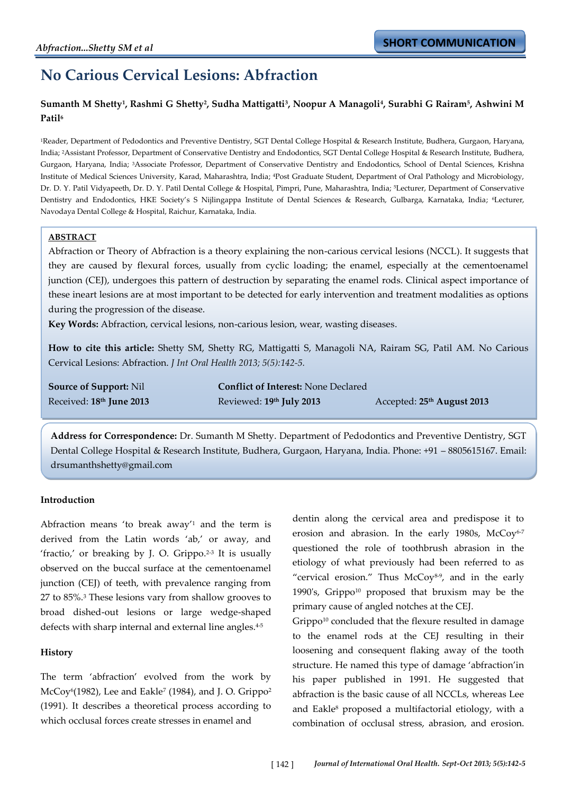# **No Carious Cervical Lesions: Abfraction**

## **Sumanth M Shetty<sup>1</sup> , Rashmi G Shetty<sup>2</sup> , Sudha Mattigatti<sup>3</sup> , Noopur A Managoli<sup>4</sup> , Surabhi G Rairam<sup>5</sup> , Ashwini M Patil<sup>6</sup>**

<sup>1</sup>Reader, Department of Pedodontics and Preventive Dentistry, SGT Dental College Hospital & Research Institute, Budhera, Gurgaon, Haryana, India; 2Assistant Professor, Department of Conservative Dentistry and Endodontics, SGT Dental College Hospital & Research Institute, Budhera, Gurgaon, Haryana, India; 3Associate Professor, Department of Conservative Dentistry and Endodontics, School of Dental Sciences, Krishna Institute of Medical Sciences University, Karad, Maharashtra, India; 4Post Graduate Student, Department of Oral Pathology and Microbiology, Dr. D. Y. Patil Vidyapeeth, Dr. D. Y. Patil Dental College & Hospital, Pimpri, Pune, Maharashtra, India; 5Lecturer, Department of Conservative Dentistry and Endodontics, HKE Society's S Nijlingappa Institute of Dental Sciences & Research, Gulbarga, Karnataka, India; <sup>6</sup>Lecturer, Navodaya Dental College & Hospital, Raichur, Karnataka, India.

## **ABSTRACT**

Abfraction or Theory of Abfraction is a theory explaining the non-carious cervical lesions (NCCL). It suggests that they are caused by flexural forces, usually from cyclic loading; the enamel, especially at the cementoenamel junction (CEJ), undergoes this pattern of destruction by separating the enamel rods. Clinical aspect importance of these ineart lesions are at most important to be detected for early intervention and treatment modalities as options during the progression of the disease.

**Key Words:** Abfraction, cervical lesions, non-carious lesion, wear, wasting diseases.

**How to cite this article:** Shetty SM, Shetty RG, Mattigatti S, Managoli NA, Rairam SG, Patil AM. No Carious Cervical Lesions: Abfraction. *J Int Oral Health 2013; 5(5):142-5.*

**Source of Support:** Nil **Conflict of Interest:** None Declared Received: **18th June 2013** Reviewed: **19**

**th July 2013** Accepted: **25th August 2013**

**Address for Correspondence:** Dr. Sumanth M Shetty. Department of Pedodontics and Preventive Dentistry, SGT Dental College Hospital & Research Institute, Budhera, Gurgaon, Haryana, India. Phone: +91 – 8805615167. Email: drsumanthshetty@gmail.com

## **Introduction**

Abfraction means 'to break away'<sup>1</sup> and the term is derived from the Latin words 'ab,' or away, and 'fractio,' or breaking by J. O. Grippo.<sup>2-3</sup> It is usually observed on the buccal surface at the cementoenamel junction (CEJ) of teeth, with prevalence ranging from 27 to 85%.<sup>3</sup> These lesions vary from shallow grooves to broad dished-out lesions or large wedge-shaped defects with sharp internal and external line angles.<sup>4-5</sup>

## **History**

The term 'abfraction' evolved from the work by McCoy6(1982), Lee and Eakle<sup>7</sup> (1984), and J. O. Grippo<sup>2</sup> (1991). It describes a theoretical process according to which occlusal forces create stresses in enamel and

dentin along the cervical area and predispose it to erosion and abrasion. In the early 1980s, McCoy<sup>6-7</sup> questioned the role of toothbrush abrasion in the etiology of what previously had been referred to as 'cervical erosion.' Thus McCoy8-9 , and in the early 1990's, Grippo<sup>10</sup> proposed that bruxism may be the primary cause of angled notches at the CEJ.

Grippo<sup>10</sup> concluded that the flexure resulted in damage to the enamel rods at the CEJ resulting in their loosening and consequent flaking away of the tooth structure. He named this type of damage 'abfraction'in his paper published in 1991. He suggested that abfraction is the basic cause of all NCCLs, whereas Lee and Eakle<sup>8</sup> proposed a multifactorial etiology, with a combination of occlusal stress, abrasion, and erosion.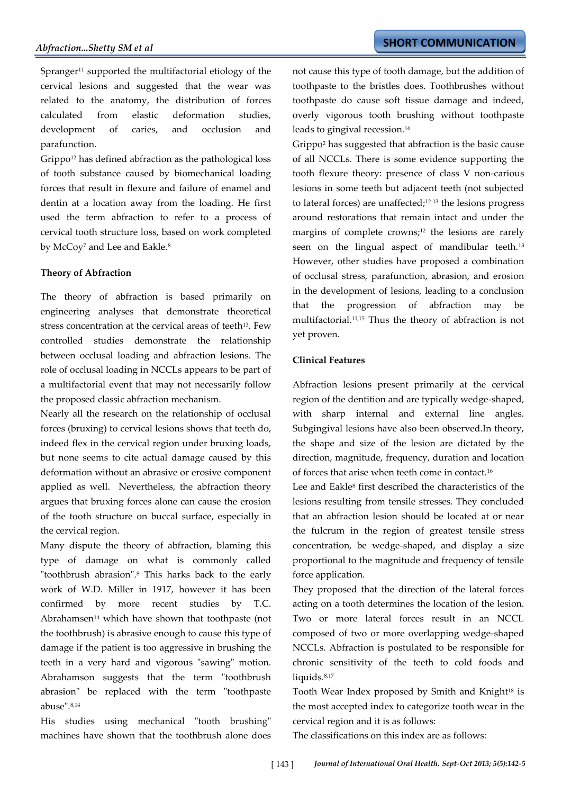Spranger<sup>11</sup> supported the multifactorial etiology of the cervical lesions and suggested that the wear was related to the anatomy, the distribution of forces calculated from elastic deformation studies, development of caries, and occlusion and parafunction.

Grippo<sup>12</sup> has defined abfraction as the pathological loss of tooth substance caused by biomechanical loading forces that result in flexure and failure of enamel and dentin at a location away from the loading. He first used the term abfraction to refer to a process of cervical tooth structure loss, based on work completed by McCoy<sup>7</sup> and Lee and Eakle.<sup>8</sup>

#### **Theory of Abfraction**

The theory of abfraction is based primarily on engineering analyses that demonstrate theoretical stress concentration at the cervical areas of teeth<sup>13</sup>. Few controlled studies demonstrate the relationship between occlusal loading and abfraction lesions. The role of occlusal loading in NCCLs appears to be part of a multifactorial event that may not necessarily follow the proposed classic abfraction mechanism.

Nearly all the research on the relationship of occlusal forces (bruxing) to cervical lesions shows that teeth do, indeed flex in the cervical region under bruxing loads, but none seems to cite actual damage caused by this deformation without an abrasive or erosive component applied as well. Nevertheless, the abfraction theory argues that bruxing forces alone can cause the erosion of the tooth structure on buccal surface, especially in the cervical region.

Many dispute the theory of abfraction, blaming this type of damage on what is commonly called "toothbrush abrasion".<sup>8</sup> This harks back to the early work of W.D. Miller in 1917, however it has been confirmed by more recent studies by T.C. Abrahamsen $14$  which have shown that toothpaste (not the toothbrush) is abrasive enough to cause this type of damage if the patient is too aggressive in brushing the teeth in a very hard and vigorous "sawing" motion. Abrahamson suggests that the term "toothbrush abrasion" be replaced with the term "toothpaste abuse".8,14

His studies using mechanical "tooth brushing" machines have shown that the toothbrush alone does not cause this type of tooth damage, but the addition of toothpaste to the bristles does. Toothbrushes without toothpaste do cause soft tissue damage and indeed, overly vigorous tooth brushing without toothpaste leads to gingival recession.<sup>14</sup>

Grippo<sup>2</sup> has suggested that abfraction is the basic cause of all NCCLs. There is some evidence supporting the tooth flexure theory: presence of class V non-carious lesions in some teeth but adjacent teeth (not subjected to lateral forces) are unaffected;12-13 the lesions progress around restorations that remain intact and under the margins of complete crowns;<sup>12</sup> the lesions are rarely seen on the lingual aspect of mandibular teeth.<sup>13</sup> However, other studies have proposed a combination of occlusal stress, parafunction, abrasion, and erosion in the development of lesions, leading to a conclusion that the progression of abfraction may be multifactorial.11,15 Thus the theory of abfraction is not yet proven.

#### **Clinical Features**

Abfraction lesions present primarily at the cervical region of the dentition and are typically wedge-shaped, with sharp internal and external line angles. Subgingival lesions have also been observed.In theory, the shape and size of the lesion are dictated by the direction, magnitude, frequency, duration and location of forces that arise when teeth come in contact.<sup>16</sup>

Lee and Eakle<sup>8</sup> first described the characteristics of the lesions resulting from tensile stresses. They concluded that an abfraction lesion should be located at or near the fulcrum in the region of greatest tensile stress concentration, be wedge-shaped, and display a size proportional to the magnitude and frequency of tensile force application.

They proposed that the direction of the lateral forces acting on a tooth determines the location of the lesion. Two or more lateral forces result in an NCCL composed of two or more overlapping wedge-shaped NCCLs. Abfraction is postulated to be responsible for chronic sensitivity of the teeth to cold foods and liquids.<sup>8,17</sup>

Tooth Wear Index proposed by Smith and Knight<sup>18</sup> is the most accepted index to categorize tooth wear in the cervical region and it is as follows:

The classifications on this index are as follows: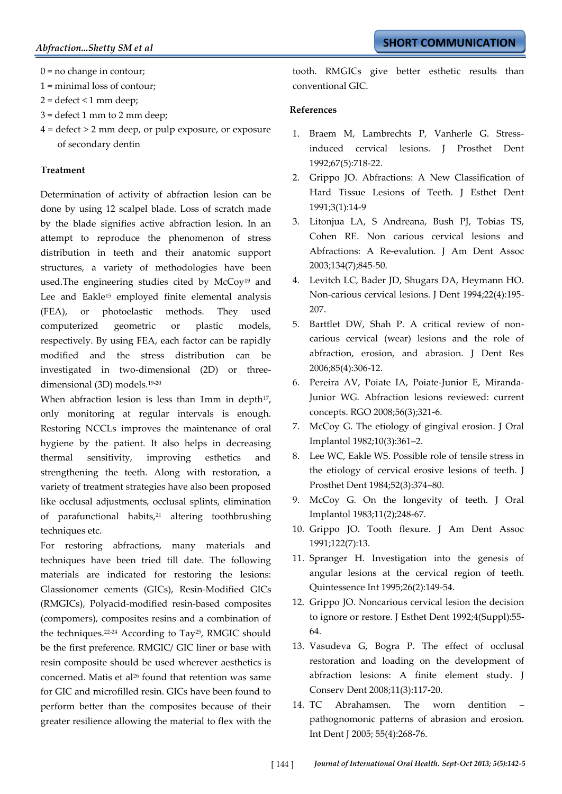$0 = no$  change in contour;

1 = minimal loss of contour;

- $2 =$  defect < 1 mm deep;
- 3 = defect 1 mm to 2 mm deep;
- 4 = defect > 2 mm deep, or pulp exposure, or exposure of secondary dentin

### **Treatment**

Determination of activity of abfraction lesion can be done by using 12 scalpel blade. Loss of scratch made by the blade signifies active abfraction lesion. In an attempt to reproduce the phenomenon of stress distribution in teeth and their anatomic support structures, a variety of methodologies have been used.The engineering studies cited by McCoy<sup>19</sup> and Lee and Eakle<sup>15</sup> employed finite elemental analysis (FEA), or photoelastic methods. They used computerized geometric or plastic models, respectively. By using FEA, each factor can be rapidly modified and the stress distribution can be investigated in two-dimensional (2D) or threedimensional (3D) models.<sup>19-20</sup>

When abfraction lesion is less than  $1mm$  in depth $17$ , only monitoring at regular intervals is enough. Restoring NCCLs improves the maintenance of oral hygiene by the patient. It also helps in decreasing thermal sensitivity, improving esthetics and strengthening the teeth. Along with restoration, a variety of treatment strategies have also been proposed like occlusal adjustments, occlusal splints, elimination of parafunctional habits,<sup>21</sup> altering toothbrushing techniques etc.

For restoring abfractions, many materials and techniques have been tried till date. The following materials are indicated for restoring the lesions: Glassionomer cements (GICs), Resin-Modified GICs (RMGICs), Polyacid-modified resin-based composites (compomers), composites resins and a combination of the techniques.22-24 According to Tay25, RMGIC should be the first preference. RMGIC/ GIC liner or base with resin composite should be used wherever aesthetics is concerned. Matis et al<sup>26</sup> found that retention was same for GIC and microfilled resin. GICs have been found to perform better than the composites because of their greater resilience allowing the material to flex with the tooth. RMGICs give better esthetic results than conventional GIC.

#### **References**

- 1. Braem M, Lambrechts P, Vanherle G. Stressinduced cervical lesions. J Prosthet Dent 1992;67(5):718-22.
- 2. Grippo JO. Abfractions: A New Classification of Hard Tissue Lesions of Teeth. J Esthet Dent 1991;3(1):14-9
- 3. Litonjua LA, S Andreana, Bush PJ, Tobias TS, Cohen RE. Non carious cervical lesions and Abfractions: A Re-evalution. J Am Dent Assoc 2003;134(7);845-50.
- 4. Levitch LC, Bader JD, Shugars DA, Heymann HO. Non-carious cervical lesions. J Dent 1994;22(4):195- 207.
- 5. Barttlet DW, Shah P. A critical review of noncarious cervical (wear) lesions and the role of abfraction, erosion, and abrasion. J Dent Res 2006;85(4):306-12.
- 6. Pereira AV, Poiate IA, Poiate-Junior E, Miranda-Junior WG. Abfraction lesions reviewed: current concepts. RGO 2008;56(3);321-6.
- 7. McCoy G. The etiology of gingival erosion. J Oral Implantol 1982;10(3):361–2.
- 8. Lee WC, Eakle WS. Possible role of tensile stress in the etiology of cervical erosive lesions of teeth. J Prosthet Dent 1984;52(3):374–80.
- 9. McCoy G. On the longevity of teeth. J Oral Implantol 1983;11(2);248-67.
- 10. Grippo JO. Tooth flexure. J Am Dent Assoc 1991;122(7):13.
- 11. Spranger H. Investigation into the genesis of angular lesions at the cervical region of teeth. Quintessence Int 1995;26(2):149-54.
- 12. Grippo JO. Noncarious cervical lesion the decision to ignore or restore. J Esthet Dent 1992;4(Suppl):55- 64.
- 13. Vasudeva G, Bogra P. The effect of occlusal restoration and loading on the development of abfraction lesions: A finite element study. J Conserv Dent 2008;11(3):117-20.
- 14. TC Abrahamsen. The worn dentition pathognomonic patterns of abrasion and erosion. Int Dent J 2005; 55(4):268-76.